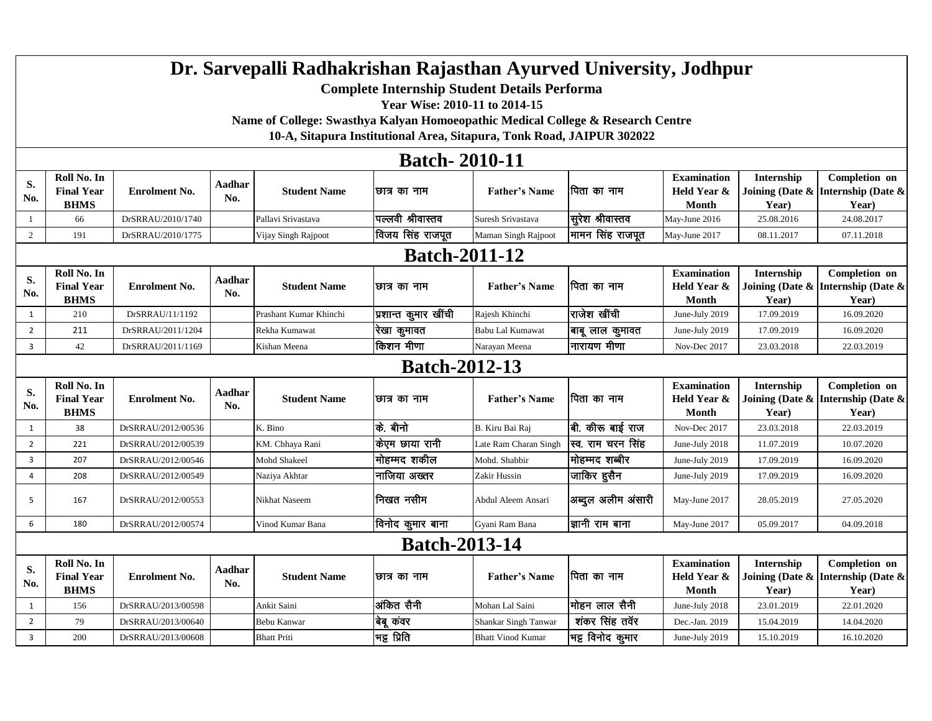## **Dr. Sarvepalli Radhakrishan Rajasthan Ayurved University, Jodhpur**

**Complete Internship Student Details Performa** 

**Year Wise: 2010-11 to 2014-15**

**Name of College: Swasthya Kalyan Homoeopathic Medical College & Research Centre** 

**10-A, Sitapura Institutional Area, Sitapura, Tonk Road, JAIPUR 302022**

## **Batch- 2010-11**

|                | Dawii- 2010-11                                  |                      |                      |                        |                      |                          |                        |                                                   |                                           |                                                              |  |
|----------------|-------------------------------------------------|----------------------|----------------------|------------------------|----------------------|--------------------------|------------------------|---------------------------------------------------|-------------------------------------------|--------------------------------------------------------------|--|
| S.<br>No.      | Roll No. In<br><b>Final Year</b><br><b>BHMS</b> | <b>Enrolment No.</b> | <b>Aadhar</b><br>No. | <b>Student Name</b>    | छात्र का नाम         | <b>Father's Name</b>     | पिता का नाम            | <b>Examination</b><br>Held Year &<br><b>Month</b> | Internship<br>Year)                       | Completion on<br>Joining (Date & Internship (Date &<br>Year) |  |
| 1              | 66                                              | DrSRRAU/2010/1740    |                      | Pallavi Srivastava     | पिल्लवी श्रीवास्तव   | Suresh Srivastava        | सूरेश श्रीवास्तव       | May-June 2016                                     | 25.08.2016                                | 24.08.2017                                                   |  |
| 2              | 191                                             | DrSRRAU/2010/1775    |                      | Vijay Singh Rajpoot    | विजय सिंह राजपूत     | Maman Singh Rajpoot      | मामन सिंह राजपूत       | May-June 2017                                     | 08.11.2017                                | 07.11.2018                                                   |  |
|                | <b>Batch-2011-12</b>                            |                      |                      |                        |                      |                          |                        |                                                   |                                           |                                                              |  |
| S.<br>No.      | Roll No. In<br><b>Final Year</b><br><b>BHMS</b> | <b>Enrolment No.</b> | Aadhar<br>No.        | <b>Student Name</b>    | ।छात्र का नाम        | <b>Father's Name</b>     | पिता का नाम            | <b>Examination</b><br>Held Year &<br><b>Month</b> | Internship<br>Year)                       | Completion on<br>Joining (Date & Internship (Date &<br>Year) |  |
| 1              | 210                                             | DrSRRAU/11/1192      |                      | Prashant Kumar Khinchi | प्रशान्त कुमार खींची | Rajesh Khinchi           | राजेश खींची            | June-July 2019                                    | 17.09.2019                                | 16.09.2020                                                   |  |
| $\overline{2}$ | 211                                             | DrSRRAU/2011/1204    |                      | Rekha Kumawat          | रेखा कुमावत          | <b>Babu Lal Kumawat</b>  | बाबू लाल कुमावत        | June-July 2019                                    | 17.09.2019                                | 16.09.2020                                                   |  |
| 3              | 42                                              | DrSRRAU/2011/1169    |                      | Kishan Meena           | किशन मीणा            | Narayan Meena            | नारायण मीणा            | Nov-Dec 2017                                      | 23.03.2018                                | 22.03.2019                                                   |  |
|                | <b>Batch-2012-13</b>                            |                      |                      |                        |                      |                          |                        |                                                   |                                           |                                                              |  |
| S.<br>No.      | Roll No. In<br><b>Final Year</b><br><b>BHMS</b> | <b>Enrolment No.</b> | Aadhar<br>No.        | <b>Student Name</b>    | ।छात्र का नाम        | <b>Father's Name</b>     | ।पिता का नाम           | <b>Examination</b><br>Held Year &<br><b>Month</b> | Internship<br>Joining (Date $\&$<br>Year) | Completion on<br>Internship (Date &<br>Year)                 |  |
| 1              | 38                                              | DrSRRAU/2012/00536   |                      | K. Bino                | कि. बीनो             | B. Kiru Bai Raj          | बी. कीरू बाई राज       | Nov-Dec 2017                                      | 23.03.2018                                | 22.03.2019                                                   |  |
| $\overline{2}$ | 221                                             | DrSRRAU/2012/00539   |                      | KM. Chhaya Rani        | किएम छाया रानी       | Late Ram Charan Singh    | स्व. राम चरन सिंह      | June-July 2018                                    | 11.07.2019                                | 10.07.2020                                                   |  |
| 3              | 207                                             | DrSRRAU/2012/00546   |                      | Mohd Shakeel           | मोहम्मद शकील         | Mohd. Shabbir            | मोहम्मद शब्बीर         | June-July 2019                                    | 17.09.2019                                | 16.09.2020                                                   |  |
| 4              | 208                                             | DrSRRAU/2012/00549   |                      | Naziya Akhtar          | <b> नाजिया अख्तर</b> | Zakir Hussin             | जाकिर हुसैन            | June-July 2019                                    | 17.09.2019                                | 16.09.2020                                                   |  |
| 5              | 167                                             | DrSRRAU/2012/00553   |                      | Nikhat Naseem          | निखत नसीम            | Abdul Aleem Ansari       | अब्दुल अलीम अंसारी     | May-June 2017                                     | 28.05.2019                                | 27.05.2020                                                   |  |
| 6              | 180                                             | DrSRRAU/2012/00574   |                      | Vinod Kumar Bana       | विनोद कूमार बाना     | Gyani Ram Bana           | <b>ज्ञानी राम बाना</b> | May-June 2017                                     | 05.09.2017                                | 04.09.2018                                                   |  |
|                | <b>Batch-2013-14</b>                            |                      |                      |                        |                      |                          |                        |                                                   |                                           |                                                              |  |
| S.<br>No.      | Roll No. In<br><b>Final Year</b><br><b>BHMS</b> | <b>Enrolment No.</b> | Aadhar<br>No.        | <b>Student Name</b>    | छात्र का नाम         | <b>Father's Name</b>     | पिता का नाम            | <b>Examination</b><br>Held Year &<br>Month        | Internship<br>Year)                       | Completion on<br>Joining (Date & Internship (Date &<br>Year) |  |
| 1              | 156                                             | DrSRRAU/2013/00598   |                      | Ankit Saini            | अंकित सैनी           | Mohan Lal Saini          | मोहन लाल सैनी          | June-July 2018                                    | 23.01.2019                                | 22.01.2020                                                   |  |
| $\overline{2}$ | 79                                              | DrSRRAU/2013/00640   |                      | Bebu Kanwar            | बेबू कंवर            | Shankar Singh Tanwar     | शंकर सिंह तवॅर         | Dec.-Jan. 2019                                    | 15.04.2019                                | 14.04.2020                                                   |  |
| 3              | 200                                             | DrSRRAU/2013/00608   |                      | <b>Bhatt Priti</b>     | भट्ट प्रिति          | <b>Bhatt Vinod Kumar</b> | भट्ट विनोद कुमार       | June-July 2019                                    | 15.10.2019                                | 16.10.2020                                                   |  |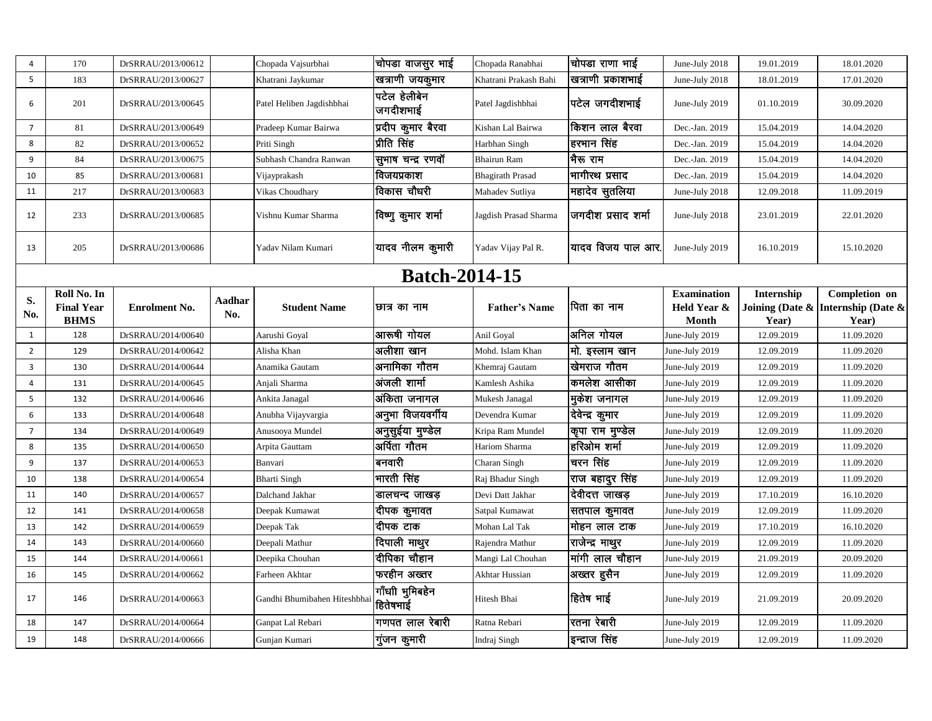| $\overline{4}$  | 170                                             | DrSRRAU/2013/00612   |                      | Chopada Vajsurbhai          | चोपडा वाजसुर भाई            | Chopada Ranabhai        | चोपडा राणा भाई                | June-July 2018                             | 19.01.2019          | 18.01.2020                                                   |
|-----------------|-------------------------------------------------|----------------------|----------------------|-----------------------------|-----------------------------|-------------------------|-------------------------------|--------------------------------------------|---------------------|--------------------------------------------------------------|
| $5\phantom{.0}$ | 183                                             | DrSRRAU/2013/00627   |                      | Khatrani Jaykumar           | खत्राणी जयकुमार             | Khatrani Prakash Bahi   | खत्राणी प्रकाशभाई             | June-July 2018                             | 18.01.2019          | 17.01.2020                                                   |
| 6               | 201                                             | DrSRRAU/2013/00645   |                      | Patel Heliben Jagdishbhai   | पटेल हेलीबेन<br>जगदीशभाई    | Patel Jagdishbhai       | पटेल जगदीशभाई                 | June-July 2019                             | 01.10.2019          | 30.09.2020                                                   |
| $\overline{7}$  | 81                                              | DrSRRAU/2013/00649   |                      | Pradeep Kumar Bairwa        | प्रदीप कुमार बैरवा          | Kishan Lal Bairwa       | किशन लाल बैरवा                | Dec.-Jan. 2019                             | 15.04.2019          | 14.04.2020                                                   |
| 8               | 82                                              | DrSRRAU/2013/00652   |                      | Priti Singh                 | प्रीति सिंह                 | Harbhan Singh           | हरभान सिंह                    | Dec.-Jan. 2019                             | 15.04.2019          | 14.04.2020                                                   |
| 9               | 84                                              | DrSRRAU/2013/00675   |                      | Subhash Chandra Ranwan      | सुभाष चन्द्र रणवॉ           | <b>Bhairun Ram</b>      | भैरू राम                      | Dec.-Jan. 2019                             | 15.04.2019          | 14.04.2020                                                   |
| 10              | 85                                              | DrSRRAU/2013/00681   |                      | Vijayprakash                | विजयप्रकाश                  | <b>Bhagirath Prasad</b> | भागीरथ प्रसाद                 | Dec.-Jan. 2019                             | 15.04.2019          | 14.04.2020                                                   |
| 11              | 217                                             | DrSRRAU/2013/00683   |                      | Vikas Choudhary             | विकास चौधरी                 | Mahadev Sutliya         | महादेव सुतलिया                | June-July 2018                             | 12.09.2018          | 11.09.2019                                                   |
| 12              | 233                                             | DrSRRAU/2013/00685   |                      | Vishnu Kumar Sharma         | विष्णु कुमार शर्मा          | Jagdish Prasad Sharma   | जगदीश प्रसाद शर्मा            | June-July 2018                             | 23.01.2019          | 22.01.2020                                                   |
| 13              | 205                                             | DrSRRAU/2013/00686   |                      | Yadav Nilam Kumari          | यादव नीलम कुमारी            | Yadav Vijay Pal R.      | यादव विजय पाल आर              | June-July 2019                             | 16.10.2019          | 15.10.2020                                                   |
|                 |                                                 |                      |                      |                             | <b>Batch-2014-15</b>        |                         |                               |                                            |                     |                                                              |
| S.<br>No.       | Roll No. In<br><b>Final Year</b><br><b>BHMS</b> | <b>Enrolment No.</b> | <b>Aadhar</b><br>No. | <b>Student Name</b>         | छात्र का नाम                | <b>Father's Name</b>    | पिता का नाम                   | <b>Examination</b><br>Held Year &<br>Month | Internship<br>Year) | Completion on<br>Joining (Date & Internship (Date &<br>Year) |
| 1               | 128                                             | DrSRRAU/2014/00640   |                      | Aarushi Goyal               | आरूषी गोयल                  | Anil Goyal              | अनिल गोयल                     | June-July 2019                             | 12.09.2019          | 11.09.2020                                                   |
| $\overline{2}$  | 129                                             | DrSRRAU/2014/00642   |                      | Alisha Khan                 | अलीशा खान                   | Mohd. Islam Khan        | मो. इस्लाम खान                | June-July 2019                             | 12.09.2019          | 11.09.2020                                                   |
| 3               | 130                                             | DrSRRAU/2014/00644   |                      | Anamika Gautam              | अनामिका गौतम                | Khemraj Gautam          | खेमराज गौतम                   | June-July 2019                             | 12.09.2019          | 11.09.2020                                                   |
| $\overline{4}$  | 131                                             | DrSRRAU/2014/00645   |                      | Anjali Sharma               | अंजली शार्मा                | Kamlesh Ashika          | कमलेश आसीका                   | June-July 2019                             | 12.09.2019          | 11.09.2020                                                   |
| 5               | 132                                             | DrSRRAU/2014/00646   |                      | Ankita Janagal              | अंकिता जनागल                | Mukesh Janagal          | मुकेश जनागल                   | June-July 2019                             | 12.09.2019          | 11.09.2020                                                   |
| 6               | 133                                             | DrSRRAU/2014/00648   |                      | Anubha Vijayvargia          | अनुभा विजयवर्गीय            | Devendra Kumar          | देवेन्द्र कुमार               | June-July 2019                             | 12.09.2019          | 11.09.2020                                                   |
| $\overline{7}$  | 134                                             | DrSRRAU/2014/00649   |                      | Anusooya Mundel             | अनुसुईया मुण्डेल            | Kripa Ram Mundel        | कृपा राम मुण्डेल              | June-July 2019                             | 12.09.2019          | 11.09.2020                                                   |
| 8               | 135                                             | DrSRRAU/2014/00650   |                      | Arpita Gauttam              | अर्पिता गौतम                | Hariom Sharma           | हरिओम शर्मा                   | June-July 2019                             | 12.09.2019          | 11.09.2020                                                   |
| 9               | 137                                             | DrSRRAU/2014/00653   |                      | Banvari                     | बनवारी                      | Charan Singh            | चरन सिंह                      | June-July 2019                             | 12.09.2019          | 11.09.2020                                                   |
| 10              | 138                                             | DrSRRAU/2014/00654   |                      | <b>Bharti Singh</b>         | भारती सिंह                  | Raj Bhadur Singh        | <mark>'राज बहादुर सिंह</mark> | June-July 2019                             | 12.09.2019          | 11.09.2020                                                   |
| 11              | 140                                             | DrSRRAU/2014/00657   |                      | Dalchand Jakhar             | डालचन्द जाखड़               | Devi Datt Jakhar        | देवीदत्त जाखड़                | June-July 2019                             | 17.10.2019          | 16.10.2020                                                   |
| 12              | 141                                             | DrSRRAU/2014/00658   |                      | Deepak Kumawat              | दीपक कुमावत                 | Satpal Kumawat          | सतपाल कुमावत                  | June-July 2019                             | 12.09.2019          | 11.09.2020                                                   |
| 13              | 142                                             | DrSRRAU/2014/00659   |                      | Deepak Tak                  | दीपक टाक                    | Mohan Lal Tak           | मोहन लाल टाक                  | June-July 2019                             | 17.10.2019          | 16.10.2020                                                   |
| 14              | 143                                             | DrSRRAU/2014/00660   |                      | Deepali Mathur              | दिपाली माथुर                | Rajendra Mathur         | राजेन्द्र माथुर               | June-July 2019                             | 12.09.2019          | 11.09.2020                                                   |
| 15              | 144                                             | DrSRRAU/2014/00661   |                      | Deepika Chouhan             | दीपिका चौहान                | Mangi Lal Chouhan       | मांगी लाल चौहान               | June-July 2019                             | 21.09.2019          | 20.09.2020                                                   |
| 16              | 145                                             | DrSRRAU/2014/00662   |                      | Farheen Akhtar              | फरहीन अख्तर                 | Akhtar Hussian          | अख्तर हुसैन                   | June-July 2019                             | 12.09.2019          | 11.09.2020                                                   |
| 17              | 146                                             | DrSRRAU/2014/00663   |                      | Gandhi Bhumibahen Hiteshbha | गाँधाी भुमिबहेन<br>हितेषभाई | Hitesh Bhai             | हितेष भाई                     | June-July 2019                             | 21.09.2019          | 20.09.2020                                                   |
| 18              | 147                                             | DrSRRAU/2014/00664   |                      | Ganpat Lal Rebari           | गणपत लाल रेबारी             | Ratna Rebari            | रतना रेबारी                   | June-July 2019                             | 12.09.2019          | 11.09.2020                                                   |
| 19              | 148                                             | DrSRRAU/2014/00666   |                      | Gunjan Kumari               | गुजन कुमारी                 | Indraj Singh            | इन्द्राज सिंह                 | June-July 2019                             | 12.09.2019          | 11.09.2020                                                   |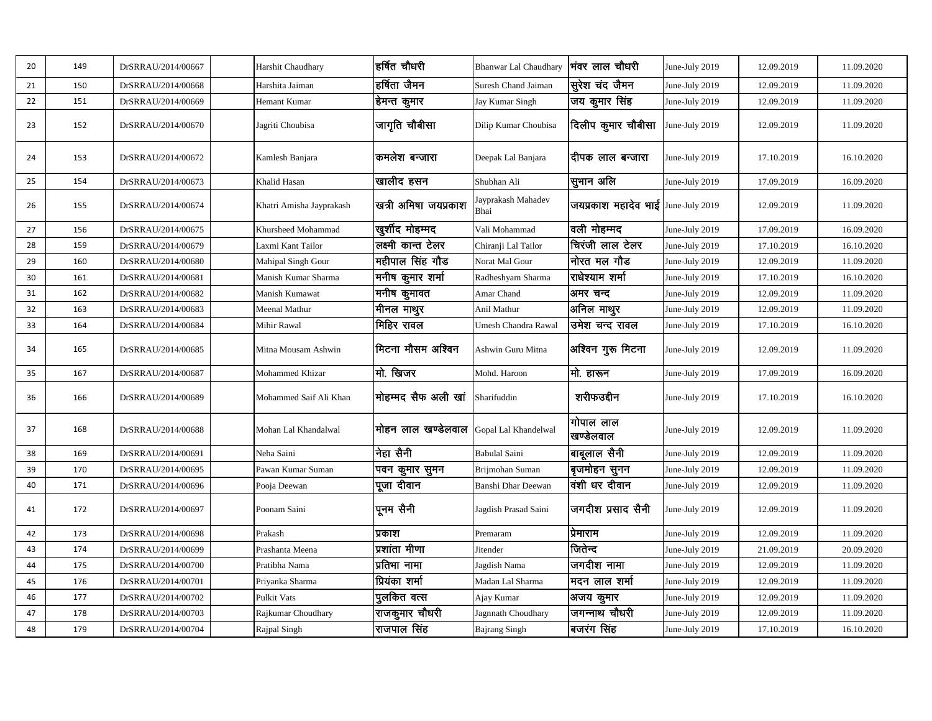| 20 | 149 | DrSRRAU/2014/00667 | Harshit Chaudhary        | हर्षित चौधरी            | <b>Bhanwar Lal Chaudhary</b> | भंवर लाल चौधरी                     | June-July 2019 | 12.09.2019 | 11.09.2020 |
|----|-----|--------------------|--------------------------|-------------------------|------------------------------|------------------------------------|----------------|------------|------------|
| 21 | 150 | DrSRRAU/2014/00668 | Harshita Jaiman          | हर्षिता जैमन            | Suresh Chand Jaiman          | सूरेश चंद जैमन                     | June-July 2019 | 12.09.2019 | 11.09.2020 |
| 22 | 151 | DrSRRAU/2014/00669 | Hemant Kumar             | हेमन्त कुमार            | Jay Kumar Singh              | जय कुमार सिंह                      | June-July 2019 | 12.09.2019 | 11.09.2020 |
| 23 | 152 | DrSRRAU/2014/00670 | Jagriti Choubisa         | जागृति चौबीसा           | Dilip Kumar Choubisa         | दिलीप कुमार चौबीसा                 | June-July 2019 | 12.09.2019 | 11.09.2020 |
| 24 | 153 | DrSRRAU/2014/00672 | Kamlesh Banjara          | कमलेश बन्जारा           | Deepak Lal Banjara           | दीपक लाल बन्जारा                   | June-July 2019 | 17.10.2019 | 16.10.2020 |
| 25 | 154 | DrSRRAU/2014/00673 | Khalid Hasan             | खालीद हसन               | Shubhan Ali                  | ।<br>सुभान अलि                     | June-July 2019 | 17.09.2019 | 16.09.2020 |
| 26 | 155 | DrSRRAU/2014/00674 | Khatri Amisha Jayprakash | खत्री अमिषा जयप्रकाश    | Jayprakash Mahadev<br>Bhai   | जयप्रकाश महादेव भाई June-July 2019 |                | 12.09.2019 | 11.09.2020 |
| 27 | 156 | DrSRRAU/2014/00675 | Khursheed Mohammad       | खुर्शीद मोहम्मद         | Vali Mohammad                | वली मोहम्मद                        | June-July 2019 | 17.09.2019 | 16.09.2020 |
| 28 | 159 | DrSRRAU/2014/00679 | Laxmi Kant Tailor        | लक्ष्मी कान्त टेलर      | Chiranji Lal Tailor          | चिरंजी लाल टेलर                    | June-July 2019 | 17.10.2019 | 16.10.2020 |
| 29 | 160 | DrSRRAU/2014/00680 | Mahipal Singh Gour       | महीपाल सिंह गौड         | Norat Mal Gour               | नोरत मल गौड                        | June-July 2019 | 12.09.2019 | 11.09.2020 |
| 30 | 161 | DrSRRAU/2014/00681 | Manish Kumar Sharma      | मनीष कुमार शर्मा        | Radheshyam Sharma            | राधेश्याम शर्मा                    | June-July 2019 | 17.10.2019 | 16.10.2020 |
| 31 | 162 | DrSRRAU/2014/00682 | Manish Kumawat           | मनीष कुमावत             | Amar Chand                   | अमर चन्द                           | June-July 2019 | 12.09.2019 | 11.09.2020 |
| 32 | 163 | DrSRRAU/2014/00683 | Meenal Mathur            | <sub>।</sub> मीनल माथुर | Anil Mathur                  | अनिल माथुर                         | June-July 2019 | 12.09.2019 | 11.09.2020 |
| 33 | 164 | DrSRRAU/2014/00684 | Mihir Rawal              | मिहिर रावल              | Umesh Chandra Rawal          | उमेश चन्द रावल                     | June-July 2019 | 17.10.2019 | 16.10.2020 |
| 34 | 165 | DrSRRAU/2014/00685 | Mitna Mousam Ashwin      | मिटना मौसम अश्विन       | Ashwin Guru Mitna            | अश्विन गुरू मिटना                  | June-July 2019 | 12.09.2019 | 11.09.2020 |
| 35 | 167 | DrSRRAU/2014/00687 | Mohammed Khizar          | $ $ मो. खिजर            | Mohd. Haroon                 | नो. हारून                          | June-July 2019 | 17.09.2019 | 16.09.2020 |
| 36 | 166 | DrSRRAU/2014/00689 | Mohammed Saif Ali Khan   | मोहम्मद सैफ अली खा      | Sharifuddin                  | शरीफउद्दीन                         | June-July 2019 | 17.10.2019 | 16.10.2020 |
| 37 | 168 | DrSRRAU/2014/00688 | Mohan Lal Khandalwal     | मोहन लाल खण्डेलवाल      | Gopal Lal Khandelwal         | गोपाल लाल<br>खण्डेलवाल             | June-July 2019 | 12.09.2019 | 11.09.2020 |
| 38 | 169 | DrSRRAU/2014/00691 | Neha Saini               | निहा सैनी               | <b>Babulal Saini</b>         | बाबूलाल सैनी                       | June-July 2019 | 12.09.2019 | 11.09.2020 |
| 39 | 170 | DrSRRAU/2014/00695 | Pawan Kumar Suman        | पवन कुमार सुमन          | Brijmohan Suman              | बृजमोहन सुनन                       | June-July 2019 | 12.09.2019 | 11.09.2020 |
| 40 | 171 | DrSRRAU/2014/00696 | Pooja Deewan             | पूजा दीवान              | Banshi Dhar Deewan           | वंशी धर दीवान                      | June-July 2019 | 12.09.2019 | 11.09.2020 |
| 41 | 172 | DrSRRAU/2014/00697 | Poonam Saini             | पूनम सैनी               | Jagdish Prasad Saini         | जगदीश प्रसाद सैनी                  | June-July 2019 | 12.09.2019 | 11.09.2020 |
| 42 | 173 | DrSRRAU/2014/00698 | Prakash                  | प्रकाश                  | Premaram                     | प्रिमाराम                          | June-July 2019 | 12.09.2019 | 11.09.2020 |
| 43 | 174 | DrSRRAU/2014/00699 | Prashanta Meena          | प्रशांता मीणा           | Jitender                     | जितेन्द                            | June-July 2019 | 21.09.2019 | 20.09.2020 |
| 44 | 175 | DrSRRAU/2014/00700 | Pratibha Nama            | प्रतिभा नामा            | Jagdish Nama                 | जगदीश नामा                         | June-July 2019 | 12.09.2019 | 11.09.2020 |
| 45 | 176 | DrSRRAU/2014/00701 | Priyanka Sharma          | प्रियंका शर्मा          | Madan Lal Sharma             | मदन लाल शर्मा                      | June-July 2019 | 12.09.2019 | 11.09.2020 |
| 46 | 177 | DrSRRAU/2014/00702 | Pulkit Vats              | पुलकित वत्स             | Ajay Kumar                   | अजय कुमार                          | June-July 2019 | 12.09.2019 | 11.09.2020 |
| 47 | 178 | DrSRRAU/2014/00703 | Rajkumar Choudhary       | राजकुमार चौधरी          | Jagnnath Choudhary           | जगन्नाथ चौधरी                      | June-July 2019 | 12.09.2019 | 11.09.2020 |
| 48 | 179 | DrSRRAU/2014/00704 | Rajpal Singh             | राजपाल सिंह             | <b>Bajrang Singh</b>         | बजरंग सिंह                         | June-July 2019 | 17.10.2019 | 16.10.2020 |